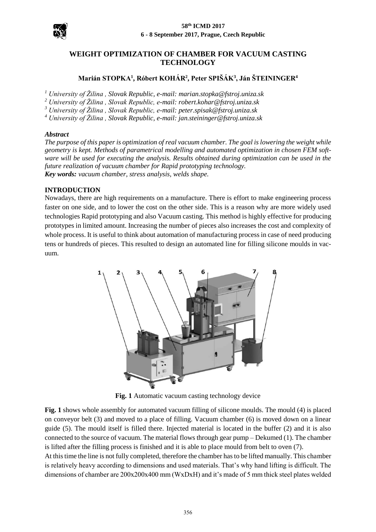



# **WEIGHT OPTIMIZATION OF CHAMBER FOR VACUUM CASTING TECHNOLOGY**

# **Marián STOPKA<sup>1</sup> , Róbert KOHÁR<sup>2</sup> , Peter SPIŠÁK<sup>3</sup> , Ján ŠTEININGER<sup>4</sup>**

*<sup>1</sup> University of Žilina , Slovak Republic, e-mail: marian.stopka@fstroj.uniza.sk*

*<sup>2</sup> University of Žilina , Slovak Republic, e-mail: robert.kohar@fstroj.uniza.sk* 

*<sup>3</sup> University of Žilina , Slovak Republic, e-mail: peter.spisak@fstroj.uniza.sk* 

*<sup>4</sup> University of Žilina , Slovak Republic, e-mail: jan.steininger@fstroj.uniza.sk* 

#### *Abstract*

*The purpose of this paper is optimization of real vacuum chamber. The goal is lowering the weight while geometry is kept. Methods of parametrical modelling and automated optimization in chosen FEM software will be used for executing the analysis. Results obtained during optimization can be used in the future realization of vacuum chamber for Rapid prototyping technology. Key words: vacuum chamber, stress analysis, welds shape.*

## **INTRODUCTION**

Nowadays, there are high requirements on a manufacture. There is effort to make engineering process faster on one side, and to lower the cost on the other side. This is a reason why are more widely used technologies Rapid prototyping and also Vacuum casting. This method is highly effective for producing prototypes in limited amount. Increasing the number of pieces also increases the cost and complexity of whole process. It is useful to think about automation of manufacturing process in case of need producing tens or hundreds of pieces. This resulted to design an automated line for filling silicone moulds in vacuum.



**Fig. 1** Automatic vacuum casting technology device

<span id="page-0-0"></span>**[Fig. 1](#page-0-0)** shows whole assembly for automated vacuum filling of silicone moulds. The mould (4) is placed on conveyor belt (3) and moved to a place of filling. Vacuum chamber (6) is moved down on a linear guide (5). The mould itself is filled there. Injected material is located in the buffer (2) and it is also connected to the source of vacuum. The material flows through gear pump – Dekumed (1). The chamber is lifted after the filling process is finished and it is able to place mould from belt to oven (7).

At this time the line is not fully completed, therefore the chamber has to be lifted manually. This chamber is relatively heavy according to dimensions and used materials. That's why hand lifting is difficult. The dimensions of chamber are 200x200x400 mm (WxDxH) and it's made of 5 mm thick steel plates welded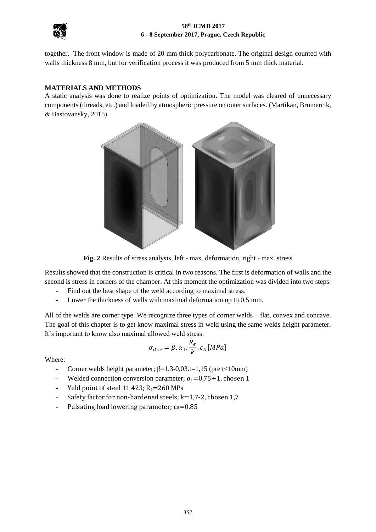

#### **58th ICMD 2017 6 - 8 September 2017, Prague, Czech Republic**

together. The front window is made of 20 mm thick polycarbonate. The original design counted with walls thickness 8 mm, but for verification process it was produced from 5 mm thick material.

## **MATERIALS AND METHODS**

A static analysis was done to realize points of optimization. The model was cleared of unnecessary components (threads, etc.) and loaded by atmospheric pressure on outer surfaces. (Martikan, Brumercik, & Bastovansky, 2015)



**Fig. 2** Results of stress analysis, left - max. deformation, right - max. stress

Results showed that the construction is critical in two reasons. The first is deformation of walls and the second is stress in corners of the chamber. At this moment the optimization was divided into two steps:

- Find out the best shape of the weld according to maximal stress.
- Lower the thickness of walls with maximal deformation up to 0,5 mm.

All of the welds are corner type. We recognize three types of corner welds – flat, convex and concave. The goal of this chapter is to get know maximal stress in weld using the same welds height parameter. It's important to know also maximal allowed weld stress:

$$
\sigma_{Dzv} = \beta \cdot \alpha_{\perp} \cdot \frac{R_e}{k} \cdot c_{II} [MPa]
$$

Where:

- Corner welds height parameter;  $\beta=1,3-0,03.t=1,15$  (pre t<10mm)
- Welded connection conversion parameter;  $\alpha_{\perp} = 0.75 \div 1$ , chosen 1
- Yeld point of steel 11 423;  $R_e = 260$  MPa
- Safety factor for non-hardened steels; k=1,7-2, chosen 1,7
- Pulsating load lowering parameter;  $c_{II}=0.85$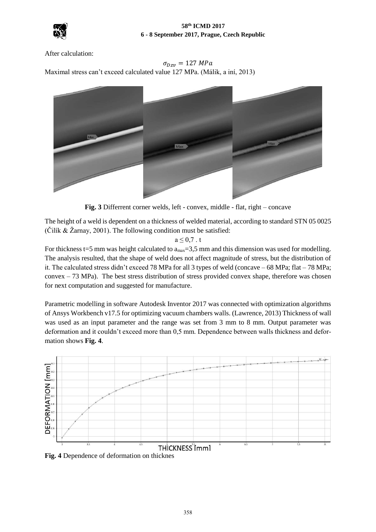

After calculation:

 $\sigma_{Dzv} = 127 MPa$ 

Maximal stress can't exceed calculated value 127 MPa. (Málik, a iní, 2013)



**Fig. 3** Differrent corner welds, left - convex, middle - flat, right – concave

The height of a weld is dependent on a thickness of welded material, according to standard STN 05 0025  $(\check{C}$ ilík & Žarnay, 2001). The following condition must be satisfied:

 $a \leq 0.7$ . t

For thickness t=5 mm was height calculated to  $a_{max}=3.5$  mm and this dimension was used for modelling. The analysis resulted, that the shape of weld does not affect magnitude of stress, but the distribution of it. The calculated stress didn't exceed 78 MPa for all 3 types of weld (concave – 68 MPa; flat – 78 MPa; convex – 73 MPa). The best stress distribution of stress provided convex shape, therefore was chosen for next computation and suggested for manufacture.

Parametric modelling in software Autodesk Inventor 2017 was connected with optimization algorithms of Ansys Workbench v17.5 for optimizing vacuum chambers walls. (Lawrence, 2013) Thickness of wall was used as an input parameter and the range was set from 3 mm to 8 mm. Output parameter was deformation and it couldn't exceed more than 0,5 mm. Dependence between walls thickness and deformation shows **[Fig. 4](#page-2-0)**.



<span id="page-2-0"></span>**Fig. 4** Dependence of deformation on thicknes